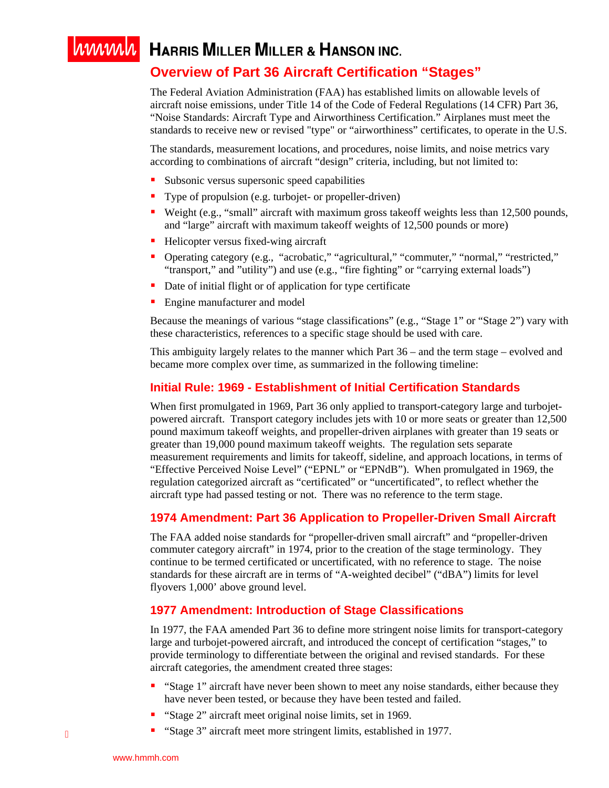# WWWW HARRIS MILLER MILLER & HANSON INC. **Overview of Part 36 Aircraft Certification "Stages"**

The Federal Aviation Administration (FAA) has established limits on allowable levels of aircraft noise emissions, under Title 14 of the Code of Federal Regulations (14 CFR) Part 36, "Noise Standards: Aircraft Type and Airworthiness Certification." Airplanes must meet the standards to receive new or revised "type" or "airworthiness" certificates, to operate in the U.S.

The standards, measurement locations, and procedures, noise limits, and noise metrics vary according to combinations of aircraft "design" criteria, including, but not limited to:

- Subsonic versus supersonic speed capabilities
- **Type of propulsion (e.g. turbojet- or propeller-driven)**
- Weight (e.g., "small" aircraft with maximum gross takeoff weights less than 12,500 pounds, and "large" aircraft with maximum takeoff weights of 12,500 pounds or more)
- Helicopter versus fixed-wing aircraft
- Operating category (e.g., "acrobatic," "agricultural," "commuter," "normal," "restricted," "transport," and "utility") and use (e.g., "fire fighting" or "carrying external loads")
- Date of initial flight or of application for type certificate
- Engine manufacturer and model

Because the meanings of various "stage classifications" (e.g., "Stage 1" or "Stage 2") vary with these characteristics, references to a specific stage should be used with care.

This ambiguity largely relates to the manner which Part 36 – and the term stage – evolved and became more complex over time, as summarized in the following timeline:

## **Initial Rule: 1969 - Establishment of Initial Certification Standards**

When first promulgated in 1969, Part 36 only applied to transport-category large and turbojetpowered aircraft. Transport category includes jets with 10 or more seats or greater than 12,500 pound maximum takeoff weights, and propeller-driven airplanes with greater than 19 seats or greater than 19,000 pound maximum takeoff weights. The regulation sets separate measurement requirements and limits for takeoff, sideline, and approach locations, in terms of "Effective Perceived Noise Level" ("EPNL" or "EPNdB"). When promulgated in 1969, the regulation categorized aircraft as "certificated" or "uncertificated", to reflect whether the aircraft type had passed testing or not. There was no reference to the term stage.

## **1974 Amendment: Part 36 Application to Propeller-Driven Small Aircraft**

The FAA added noise standards for "propeller-driven small aircraft" and "propeller-driven commuter category aircraft" in 1974, prior to the creation of the stage terminology. They continue to be termed certificated or uncertificated, with no reference to stage. The noise standards for these aircraft are in terms of "A-weighted decibel" ("dBA") limits for level flyovers 1,000' above ground level.

#### **1977 Amendment: Introduction of Stage Classifications**

In 1977, the FAA amended Part 36 to define more stringent noise limits for transport-category large and turbojet-powered aircraft, and introduced the concept of certification "stages," to provide terminology to differentiate between the original and revised standards. For these aircraft categories, the amendment created three stages:

- "Stage 1" aircraft have never been shown to meet any noise standards, either because they have never been tested, or because they have been tested and failed.
- **Stage 2" aircraft meet original noise limits, set in 1969.**
- "Stage 3" aircraft meet more stringent limits, established in 1977.